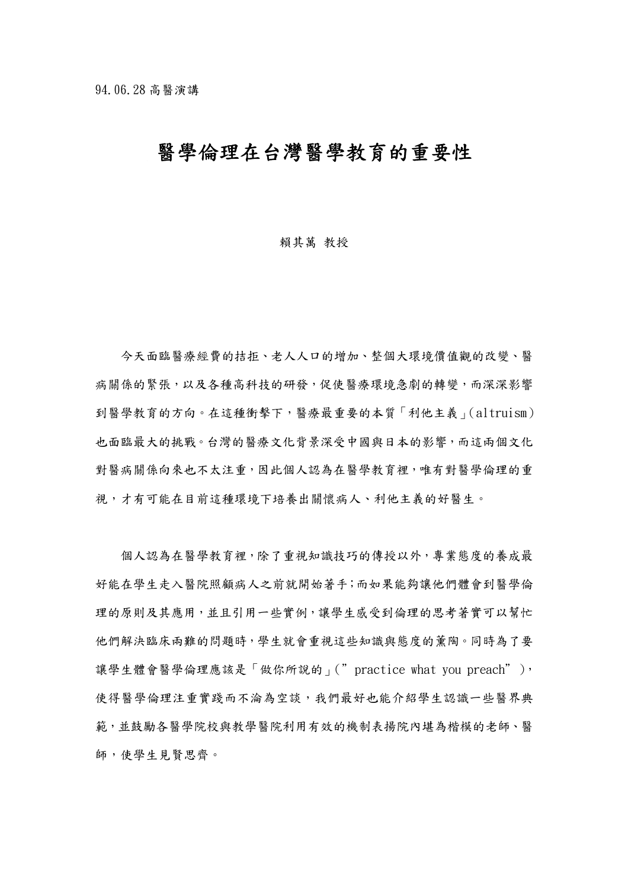# 醫學倫理在台灣醫學教育的重要性

#### 賴其萬 教授

今天面臨醫療經費的拮拒、老人人口的增加、整個大環境價值觀的改變、醫 病關係的緊張,以及各種高科技的研發,促使醫療環境急劇的轉變,而深深影響 到醫學教育的方向。在這種衝擊下,醫療最重要的本質「利他主義」(altruism) 也面臨最大的挑戰。台灣的醫療文化背景深受中國與日本的影響,而這兩個文化 對醫病關係向來也不太注重,因此個人認為在醫學教育裡,唯有對醫學倫理的重 視,才有可能在目前這種環境下培養出關懷病人、利他主義的好醫生。

個人認為在醫學教育裡,除了重視知識技巧的傳授以外,專業態度的養成最 好能在學生走入醫院照顧病人之前就開始著手;而如果能夠讓他們體會到醫學倫 理的原則及其應用,並且引用一些實例,讓學生感受到倫理的思考著實可以幫忙 他們解決臨床兩難的問題時,學生就會重視這些知識與態度的薰陶。同時為了要 讓學生體會醫學倫理應該是「做你所說的」("practice what you preach"), 使得醫學倫理注重實踐而不淪為空談,我們最好也能介紹學生認識一些醫界典 範,並鼓勵各醫學院校與教學醫院利用有效的機制表揚院內堪為楷模的老師、醫 師,使學生見賢思齊。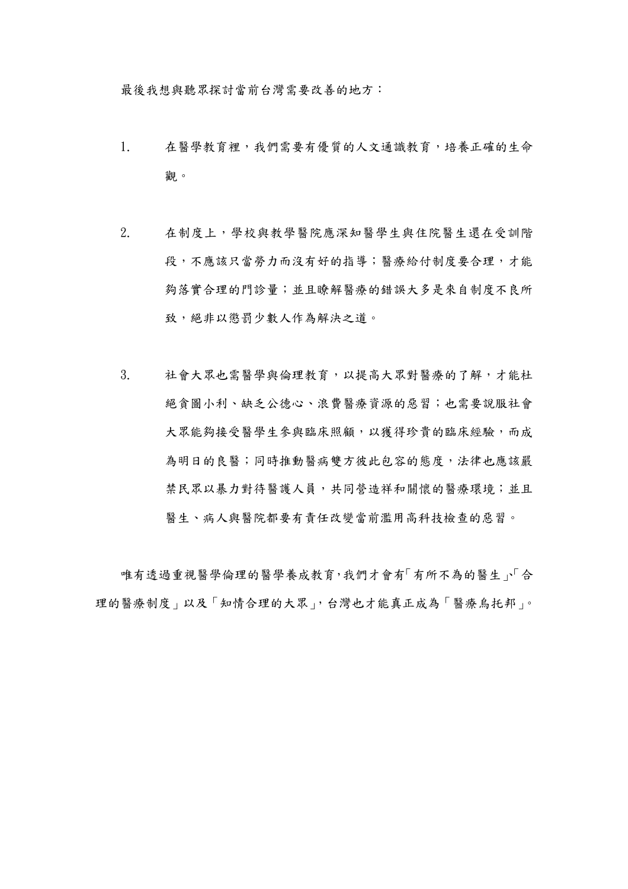最後我想與聽眾探討當前台灣需要改善的地方:

- 1. 在醫學教育裡,我們需要有優質的人文通識教育,培養正確的生命 觀。
- 2. 在制度上,學校與教學醫院應深知醫學生與住院醫生還在受訓階 段,不應該只當勞力而沒有好的指導;醫療給付制度要合理,才能 夠落實合理的門診量;並且瞭解醫療的錯誤大多是來自制度不良所 致,絕非以懲罰少數人作為解決之道。
- 3. 社會大眾也需醫學與倫理教育,以提高大眾對醫療的了解,才能杜 絕貪圖小利、缺乏公德心、浪費醫療資源的惡習;也需要說服社會 大眾能夠接受醫學生參與臨床照顧,以獲得珍貴的臨床經驗,而成 為明日的良醫;同時推動醫病雙方彼此包容的態度,法律也應該嚴 禁民眾以暴力對待醫護人員,共同營造祥和關懷的醫療環境;並且 醫生、病人與醫院都要有責任改變當前濫用高科技檢查的惡習。

唯有透過重視醫學倫理的醫學養成教育,我們才會有「有所不為的醫生」、「合 理的醫療制度」以及「知情合理的大眾」,台灣也才能真正成為「醫療烏托邦」。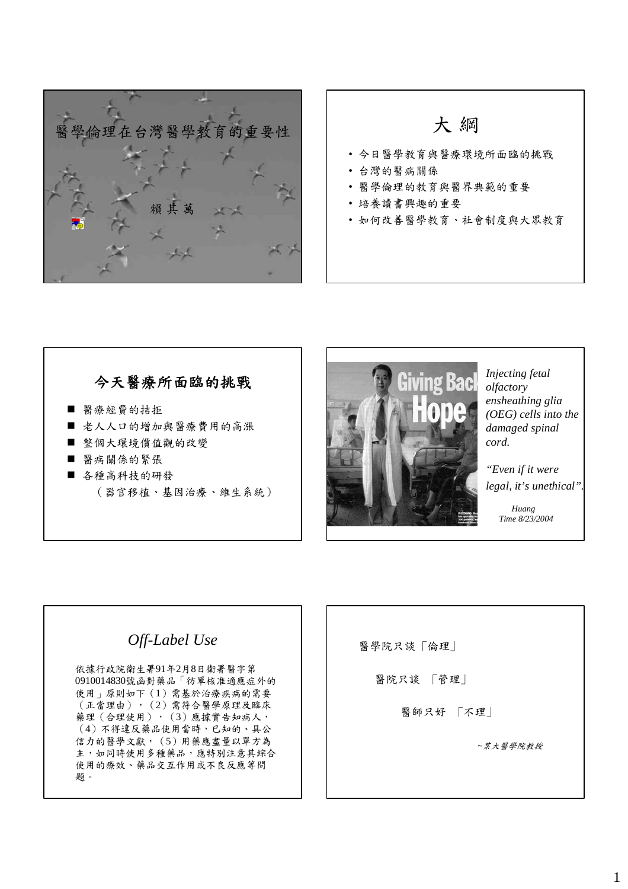



### 今天醫療所面臨的挑戰

- 醫療經費的拮拒
- 老人人口的增加與醫療費用的高漲
- 整個大環境價值觀的改變
- 醫病關係的緊張
- 各種高科技的研發 (器官移植、基因治療、維生系統)



*Injecting fetal olfactory ensheathing glia (OEG) cells into the damaged spinal cord.* 

*"Even if it were legal, it's unethical".*

> *Huang Time 8/23/2004*

# *Off-Label Use*

依據行政院衛生署91年2月8日衛署醫字第 0910014830號函對藥品「彷單核准適應症外的 使用」原則如下(1)需基於治療疾病的需要 (正當理由),(2)需符合醫學原理及臨床 藥理(合理使用), (3)應據實告知病人, (4)不得違反藥品使用當時,已知的、具公 信力的醫學文獻,(5)用藥應盡量以單方為 主,如同時使用多種藥品,應特別注意其綜合 使用的療效、藥品交互作用或不良反應等問 題。

醫學院只談 「倫理」

醫院只談 「管理」

醫師只好 「不理」

*~*某大醫學院教授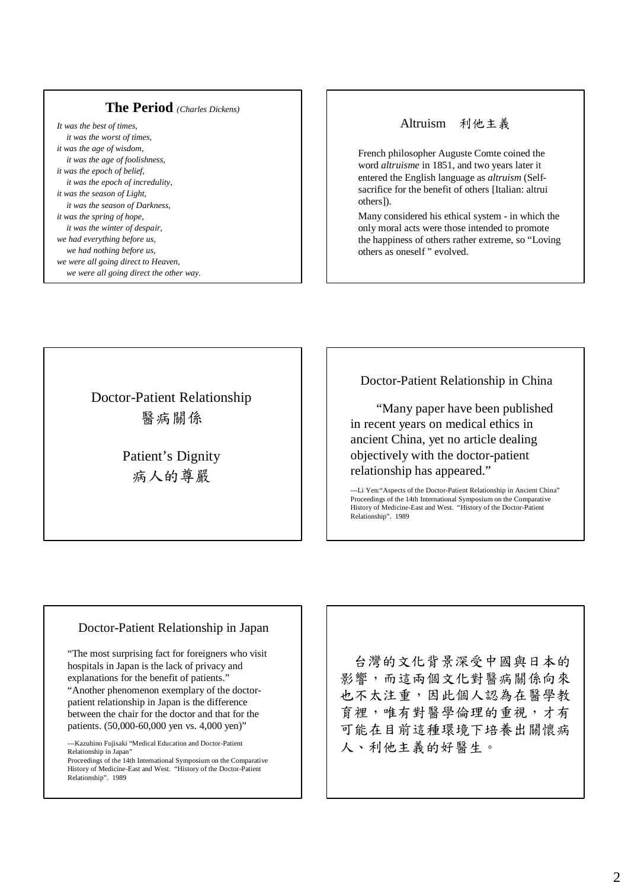### **The Period** *(Charles Dickens)*

*It was the best of times, it was the worst of times, it was the age of wisdom, it was the age of foolishness, it was the epoch of belief, it was the epoch of incredulity, it was the season of Light, it was the season of Darkness, it was the spring of hope, it was the winter of despair, we had everything before us, we had nothing before us, we were all going direct to Heaven, we were all going direct the other way.*

### Altruism 利他主義

French philosopher Auguste Comte coined the word *altruisme* in 1851, and two years later it entered the English language as *altruism* (Selfsacrifice for the benefit of others [Italian: altrui others]).

Many considered his ethical system - in which the only moral acts were those intended to promote the happiness of others rather extreme, so "Loving others as oneself " evolved.

Doctor-Patient Relationship 醫病關係

> Patient's Dignity 病人的尊嚴

Doctor-Patient Relationship in China

"Many paper have been published in recent years on medical ethics in ancient China, yet no article dealing objectively with the doctor-patient relationship has appeared."

---Li Yen:"Aspects of the Doctor-Patient Relationship in Ancient China" Proceedings of the 14th International Symposium on the Comparative History of Medicine-East and West. "History of the Doctor-Patient Relationship". 1989

#### Doctor-Patient Relationship in Japan

"The most surprising fact for foreigners who visit hospitals in Japan is the lack of privacy and explanations for the benefit of patients." "Another phenomenon exemplary of the doctorpatient relationship in Japan is the difference between the chair for the doctor and that for the patients. (50,000-60,000 yen vs. 4,000 yen)"

---Kazuhino Fujisaki "Medical Education and Doctor-Patient Relationship in Japan"

Proceedings of the 14th International Symposium on the Comparative History of Medicine-East and West. "History of the Doctor-Patient Relationship". 1989

台灣的文化背景深受中國與日本的 影響,而這兩個文化對醫病關係向來 也不太注重,因此個人認為在醫學教 育裡,唯有對醫學倫理的重視,才有 可能在目前這種環境下培養出關懷病 人、利他主義的好醫生。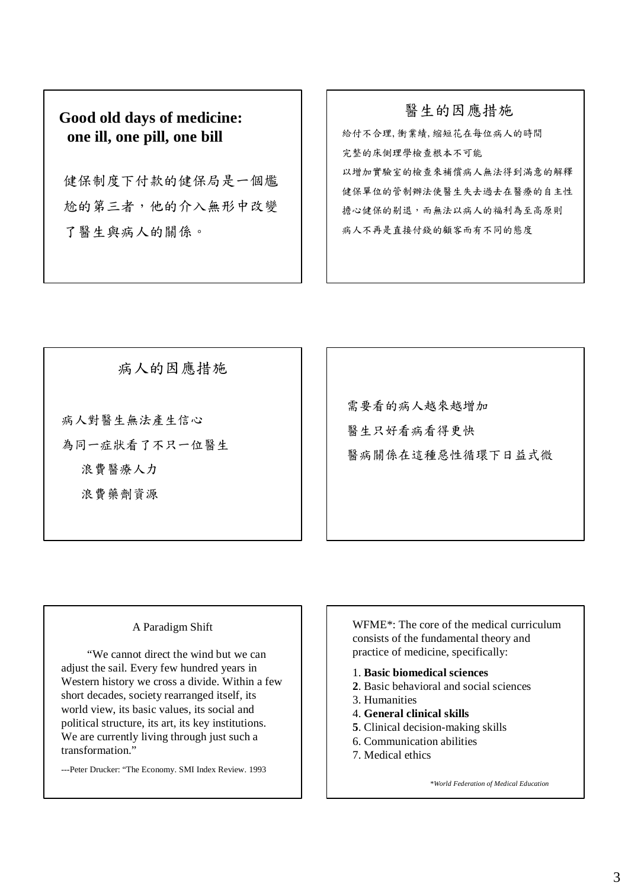## **Good old days of medicine: one ill, one pill, one bill**

健保制度下付款的健保局是一個尷 尬的第三者,他的介入無形中改變 了醫生與病人的關係。

醫生的因應措施 給付不合理,衝業績,縮短花在每位病人的時間 完整的床側理學檢查根本不可能 以增加實驗室的檢查來補償病人無法得到滿意的解釋 健保單位的管制辦法使醫生失去過去在醫療的自主性 擔心健保的剔退,而無法以病人的福利為至高原則 病人不再是直接付錢的顧客而有不同的態度

病人的因應措施

病人對醫生無法產生信心 為同一症狀看了不只一位醫生 浪費醫療人力 浪費藥劑資源

需要看的病人越來越增加 醫生只好看病看得更快 醫病關係在這種惡性循環下日益式微

### A Paradigm Shift

"We cannot direct the wind but we can adjust the sail. Every few hundred years in Western history we cross a divide. Within a few short decades, society rearranged itself, its world view, its basic values, its social and political structure, its art, its key institutions. We are currently living through just such a transformation"

---Peter Drucker: "The Economy. SMI Index Review. 1993

WFME\*: The core of the medical curriculum consists of the fundamental theory and practice of medicine, specifically:

- 1. **Basic biomedical sciences**
- **2**. Basic behavioral and social sciences
- 3. Humanities
- 4. **General clinical skills**
- **5**. Clinical decision-making skills
- 6. Communication abilities
- 7. Medical ethics

*\*World Federation of Medical Education*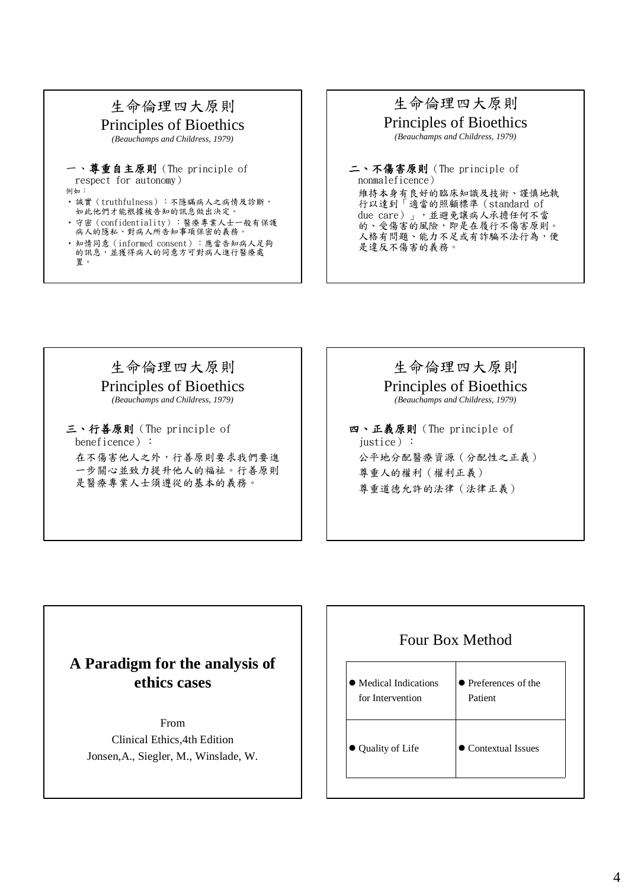

·知情同意(informed consent):應當告知病人足夠 的訊息,並獲得病人的同意方可對病人進行醫療處 置。

### 生命倫理四大原則 Principles of Bioethics

*(Beauchamps and Childress, 1979)*

二、不傷害原則(The principle of nonmaleficence) 維持本身有良好的臨床知識及技術、謹慎地執 行以達到「適當的照顧標準(standard of due care)」,並避免讓病人承擔任何不當 的、受傷害的風險,即是在履行不傷害原則。 人格有問題、能力不足或有詐騙不法行為,便 是違反不傷害的義務。

# 生命倫理四大原則

Principles of Bioethics *(Beauchamps and Childress, 1979)*

三、行善原則(The principle of beneficence): 在不傷害他人之外,行善原則要求我們要進 一步關心並致力提升他人的福祉。行善原則 是醫療專業人士須遵從的基本的義務。

# 生命倫理四大原則

Principles of Bioethics *(Beauchamps and Childress, 1979)*

四、正義原則(The principle of iustice): 公平地分配醫療資源(分配性之正義) 尊重人的權利(權利正義) 尊重道德允許的法律(法律正義)

# **A Paradigm for the analysis of ethics cases**

From Clinical Ethics,4th Edition Jonsen,A., Siegler, M., Winslade, W.

# Four Box Method

| • Medical Indications | $\bullet$ Preferences of the |
|-----------------------|------------------------------|
| for Intervention      | Patient                      |
| • Quality of Life     | $\bullet$ Contextual Issues  |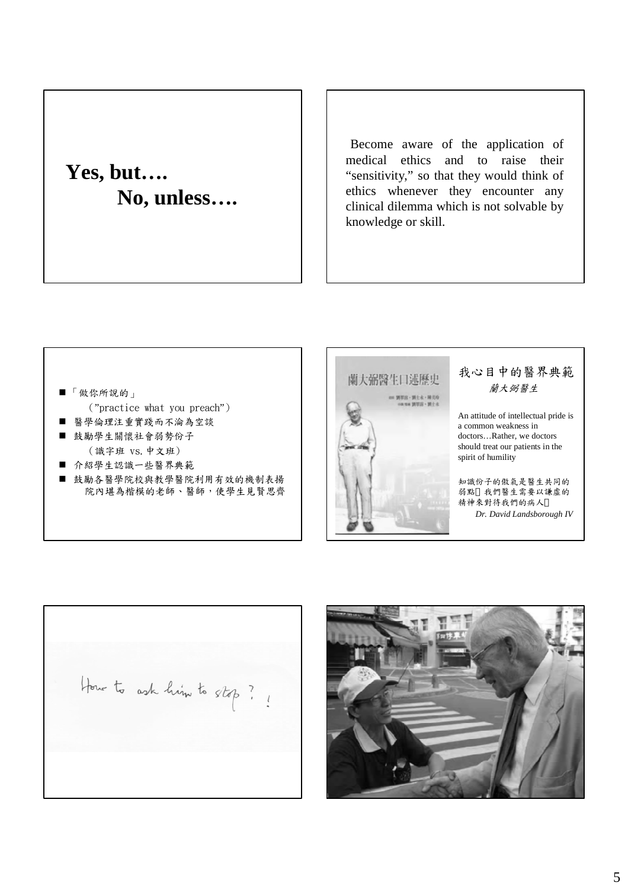# **Yes, but…. No, unless….**

Become aware of the application of medical ethics and to raise their "sensitivity," so that they would think of ethics whenever they encounter any clinical dilemma which is not solvable by knowledge or skill.

### 「做你所說的」 ("practice what you preach") 醫學倫理注重實踐而不淪為空談

- 鼓勵學生關懷社會弱勢份子 (識字班 vs.中文班)
- 介紹學生認識一些醫界典範
- 鼓勵各醫學院校與教學醫院利用有效的機制表揚 院內堪為楷模的老師、醫師,使學生見賢思齊



### 我心目中的醫界典範 蘭大弼醫生

An attitude of intellectual pride is a common weakness in doctors…Rather, we doctors should treat our patients in the spirit of humility

知識份子的傲氣是醫生共同的 弱點 我們醫生需要以謙虛的 精神來對待我們的病人 *Dr. David Landsborough IV* 

How to ask him to stop?

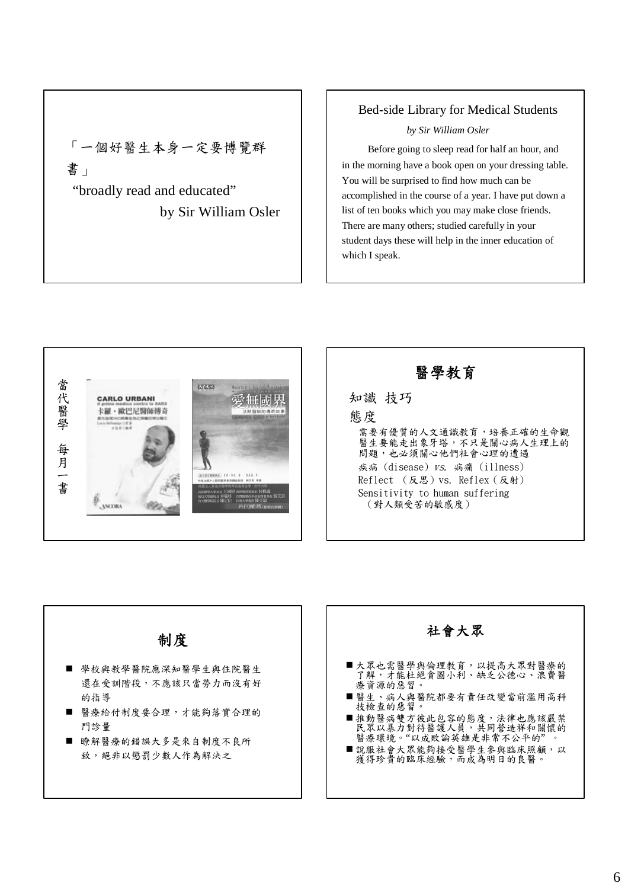「一個好醫生本身一定要博覽群 書」 "broadly read and educated"

by Sir William Osler

### Bed-side Library for Medical Students

#### *by Sir William Osler*

Before going to sleep read for half an hour, and in the morning have a book open on your dressing table. You will be surprised to find how much can be accomplished in the course of a year. I have put down a list of ten books which you may make close friends. There are many others; studied carefully in your student days these will help in the inner education of which I speak.



醫學教育 知識 技巧 態度 需要有優質的人文通識教育,培養正確的生命觀 醫生要能走出象牙塔,不只是關心病人生理上的 問題,也必須關心他們社會心理的遭遇 疾病 (disease) vs. 病痛 (illness) Reflect (反思)vs. Reflex(反射) Sensitivity to human suffering (對人類受苦的敏感度)

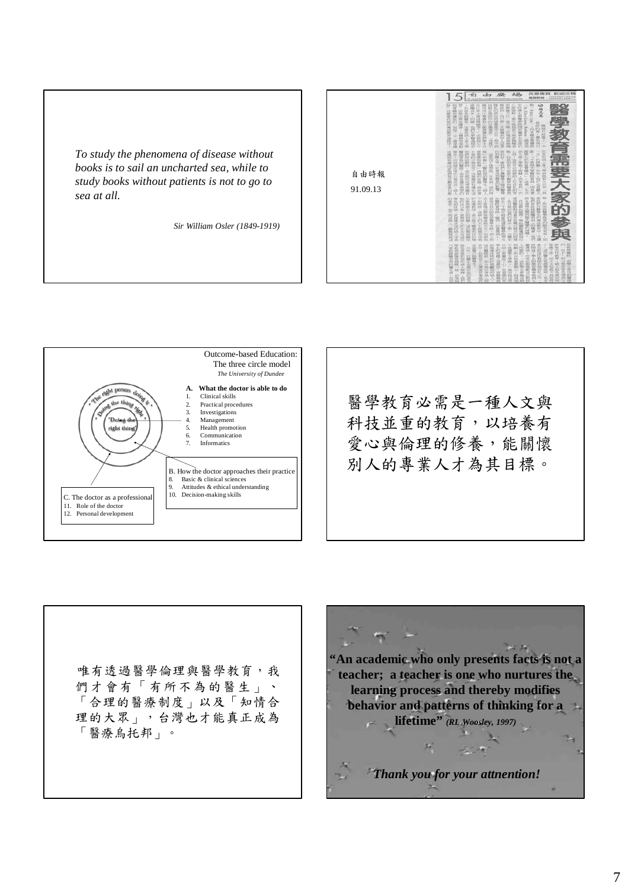*To study the phenomena of disease without books is to sail an uncharted sea, while to study books without patients is not to go to sea at all.*

*Sir William Osler (1849-1919)*







唯有透過醫學倫理與醫學教育,我 們才會有「有所不為的醫生」、 「合理的醫療制度」以及「知情合 理的大眾」,台灣也才能真正成為 「醫療烏托邦」。